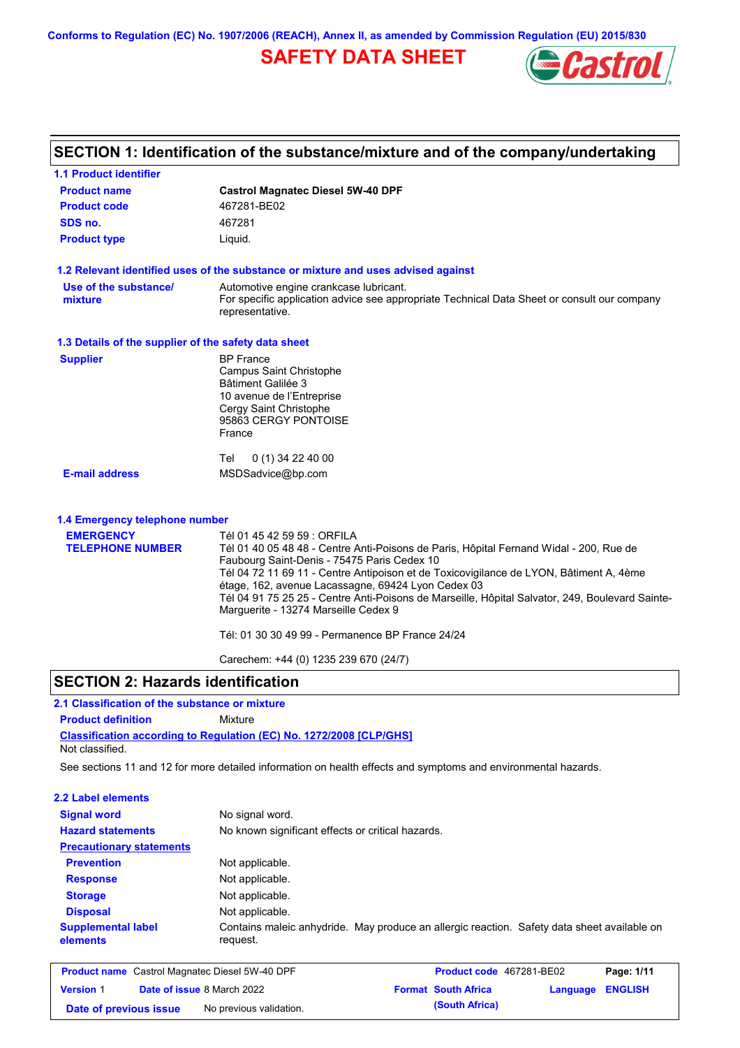**Conforms to Regulation (EC) No. 1907/2006 (REACH), Annex II, as amended by Commission Regulation (EU) 2015/830**

# **SAFETY DATA SHEET**



# **SECTION 1: Identification of the substance/mixture and of the company/undertaking**

| <b>1.1 Product identifier</b>                        |                                                                                                                                                                                                                                                                                                                                                                                                                                                                 |
|------------------------------------------------------|-----------------------------------------------------------------------------------------------------------------------------------------------------------------------------------------------------------------------------------------------------------------------------------------------------------------------------------------------------------------------------------------------------------------------------------------------------------------|
| <b>Product name</b>                                  | <b>Castrol Magnatec Diesel 5W-40 DPF</b>                                                                                                                                                                                                                                                                                                                                                                                                                        |
| <b>Product code</b>                                  | 467281-BE02                                                                                                                                                                                                                                                                                                                                                                                                                                                     |
| SDS no.                                              | 467281                                                                                                                                                                                                                                                                                                                                                                                                                                                          |
| <b>Product type</b>                                  | Liquid.                                                                                                                                                                                                                                                                                                                                                                                                                                                         |
|                                                      | 1.2 Relevant identified uses of the substance or mixture and uses advised against                                                                                                                                                                                                                                                                                                                                                                               |
| Use of the substance/<br>mixture                     | Automotive engine crankcase lubricant.<br>For specific application advice see appropriate Technical Data Sheet or consult our company<br>representative.                                                                                                                                                                                                                                                                                                        |
| 1.3 Details of the supplier of the safety data sheet |                                                                                                                                                                                                                                                                                                                                                                                                                                                                 |
| <b>Supplier</b>                                      | <b>BP</b> France<br><b>Campus Saint Christophe</b><br>Bâtiment Galilée 3<br>10 avenue de l'Entreprise<br>Cergy Saint Christophe<br>95863 CERGY PONTOISE<br>France                                                                                                                                                                                                                                                                                               |
|                                                      | Tel<br>$0(1)$ 34 22 40 00                                                                                                                                                                                                                                                                                                                                                                                                                                       |
| <b>E-mail address</b>                                | MSDSadvice@bp.com                                                                                                                                                                                                                                                                                                                                                                                                                                               |
| 1.4 Emergency telephone number                       |                                                                                                                                                                                                                                                                                                                                                                                                                                                                 |
| <b>EMERGENCY</b><br><b>TELEPHONE NUMBER</b>          | Tél 01 45 42 59 59 : ORFILA<br>Tél 01 40 05 48 48 - Centre Anti-Poisons de Paris, Hôpital Fernand Widal - 200, Rue de<br>Faubourg Saint-Denis - 75475 Paris Cedex 10<br>Tél 04 72 11 69 11 - Centre Antipoison et de Toxicovigilance de LYON, Bâtiment A, 4ème<br>étage, 162, avenue Lacassagne, 69424 Lyon Cedex 03<br>Tél 04 91 75 25 25 - Centre Anti-Poisons de Marseille, Hôpital Salvator, 249, Boulevard Sainte-<br>Marguerite - 13274 Marseille Cedex 9 |
|                                                      | Tél: 01 30 30 49 99 - Permanence BP France 24/24                                                                                                                                                                                                                                                                                                                                                                                                                |
|                                                      | Carechem: +44 (0) 1235 239 670 (24/7)                                                                                                                                                                                                                                                                                                                                                                                                                           |

### **SECTION 2: Hazards identification**

### **2.1 Classification of the substance or mixture**

**Product definition** Mixture

**Classification according to Regulation (EC) No. 1272/2008 [CLP/GHS]** Not classified.

See sections 11 and 12 for more detailed information on health effects and symptoms and environmental hazards.

### **2.2 Label elements**

| --- -----------------                 |                                                                                                         |
|---------------------------------------|---------------------------------------------------------------------------------------------------------|
| <b>Signal word</b>                    | No signal word.                                                                                         |
| <b>Hazard statements</b>              | No known significant effects or critical hazards.                                                       |
| <b>Precautionary statements</b>       |                                                                                                         |
| <b>Prevention</b>                     | Not applicable.                                                                                         |
| <b>Response</b>                       | Not applicable.                                                                                         |
| <b>Storage</b>                        | Not applicable.                                                                                         |
| <b>Disposal</b>                       | Not applicable.                                                                                         |
| <b>Supplemental label</b><br>elements | Contains maleic anhydride. May produce an allergic reaction. Safety data sheet available on<br>request. |
|                                       |                                                                                                         |

| <b>Product name</b> Castrol Magnatec Diesel 5W-40 DPF |  |                                   | Product code 467281-BE02 |                            | Page: 1/11       |  |
|-------------------------------------------------------|--|-----------------------------------|--------------------------|----------------------------|------------------|--|
| <b>Version 1</b>                                      |  | <b>Date of issue 8 March 2022</b> |                          | <b>Format South Africa</b> | Language ENGLISH |  |
| Date of previous issue                                |  | No previous validation.           |                          | (South Africa)             |                  |  |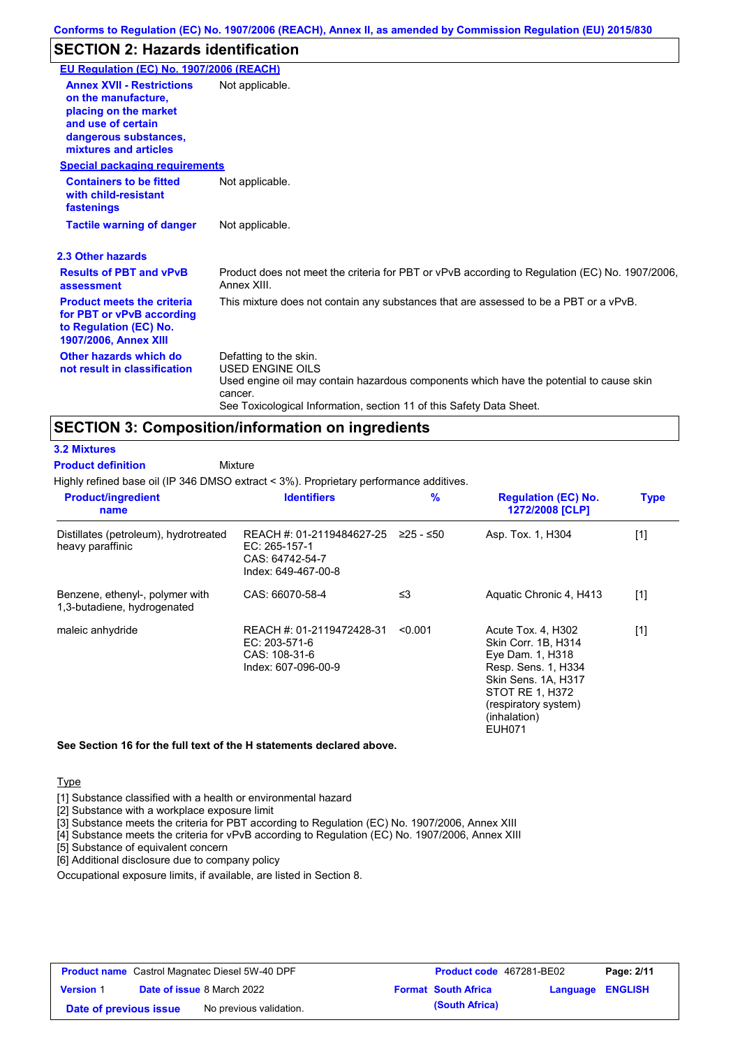## **SECTION 2: Hazards identification**

| EU Regulation (EC) No. 1907/2006 (REACH)                                                                                                                 |                                                                                                                                                                                                                                 |
|----------------------------------------------------------------------------------------------------------------------------------------------------------|---------------------------------------------------------------------------------------------------------------------------------------------------------------------------------------------------------------------------------|
| <b>Annex XVII - Restrictions</b><br>on the manufacture.<br>placing on the market<br>and use of certain<br>dangerous substances,<br>mixtures and articles | Not applicable.                                                                                                                                                                                                                 |
| <b>Special packaging requirements</b>                                                                                                                    |                                                                                                                                                                                                                                 |
| <b>Containers to be fitted</b><br>with child-resistant<br>fastenings                                                                                     | Not applicable.                                                                                                                                                                                                                 |
| <b>Tactile warning of danger</b>                                                                                                                         | Not applicable.                                                                                                                                                                                                                 |
| 2.3 Other hazards                                                                                                                                        |                                                                                                                                                                                                                                 |
| <b>Results of PBT and vPvB</b><br>assessment                                                                                                             | Product does not meet the criteria for PBT or vPvB according to Regulation (EC) No. 1907/2006,<br>Annex XIII.                                                                                                                   |
| <b>Product meets the criteria</b><br>for PBT or vPvB according<br>to Regulation (EC) No.<br><b>1907/2006, Annex XIII</b>                                 | This mixture does not contain any substances that are assessed to be a PBT or a vPvB.                                                                                                                                           |
| Other hazards which do<br>not result in classification                                                                                                   | Defatting to the skin.<br><b>USED ENGINE OILS</b><br>Used engine oil may contain hazardous components which have the potential to cause skin<br>cancer.<br>See Toxicological Information, section 11 of this Safety Data Sheet. |

### **SECTION 3: Composition/information on ingredients**

**Mixture** 

**3.2 Mixtures**

**Product definition**

Highly refined base oil (IP 346 DMSO extract < 3%). Proprietary performance additives.

| <b>Product/ingredient</b><br>name                              | <b>Identifiers</b>                                                                                         | $\frac{9}{6}$ | <b>Regulation (EC) No.</b><br>1272/2008 [CLP]                                                                                                                                    | <b>Type</b> |
|----------------------------------------------------------------|------------------------------------------------------------------------------------------------------------|---------------|----------------------------------------------------------------------------------------------------------------------------------------------------------------------------------|-------------|
| Distillates (petroleum), hydrotreated<br>heavy paraffinic      | REACH #: 01-2119484627-25 $\geq$ 25 - $\leq$ 50<br>EC: 265-157-1<br>CAS: 64742-54-7<br>Index: 649-467-00-8 |               | Asp. Tox. 1, H304                                                                                                                                                                | [1]         |
| Benzene, ethenyl-, polymer with<br>1,3-butadiene, hydrogenated | CAS: 66070-58-4                                                                                            | ≤3            | Aquatic Chronic 4, H413                                                                                                                                                          | $[1]$       |
| maleic anhydride                                               | REACH #: 01-2119472428-31<br>EC: 203-571-6<br>CAS: 108-31-6<br>Index: 607-096-00-9                         | < 0.001       | Acute Tox. 4, H302<br>Skin Corr. 1B, H314<br>Eye Dam. 1, H318<br>Resp. Sens. 1, H334<br>Skin Sens. 1A, H317<br>STOT RE 1, H372<br>(respiratory system)<br>(inhalation)<br>EUH071 | [1]         |

**See Section 16 for the full text of the H statements declared above.**

**Type** 

[1] Substance classified with a health or environmental hazard

[2] Substance with a workplace exposure limit

[3] Substance meets the criteria for PBT according to Regulation (EC) No. 1907/2006, Annex XIII

[4] Substance meets the criteria for vPvB according to Regulation (EC) No. 1907/2006, Annex XIII

[5] Substance of equivalent concern

[6] Additional disclosure due to company policy

Occupational exposure limits, if available, are listed in Section 8.

| <b>Product name</b> Castrol Magnatec Diesel 5W-40 DPF |  |                                   | <b>Product code</b> 467281-BE02 |                            | Page: 2/11       |  |
|-------------------------------------------------------|--|-----------------------------------|---------------------------------|----------------------------|------------------|--|
| <b>Version 1</b>                                      |  | <b>Date of issue 8 March 2022</b> |                                 | <b>Format South Africa</b> | Language ENGLISH |  |
| Date of previous issue                                |  | No previous validation.           |                                 | (South Africa)             |                  |  |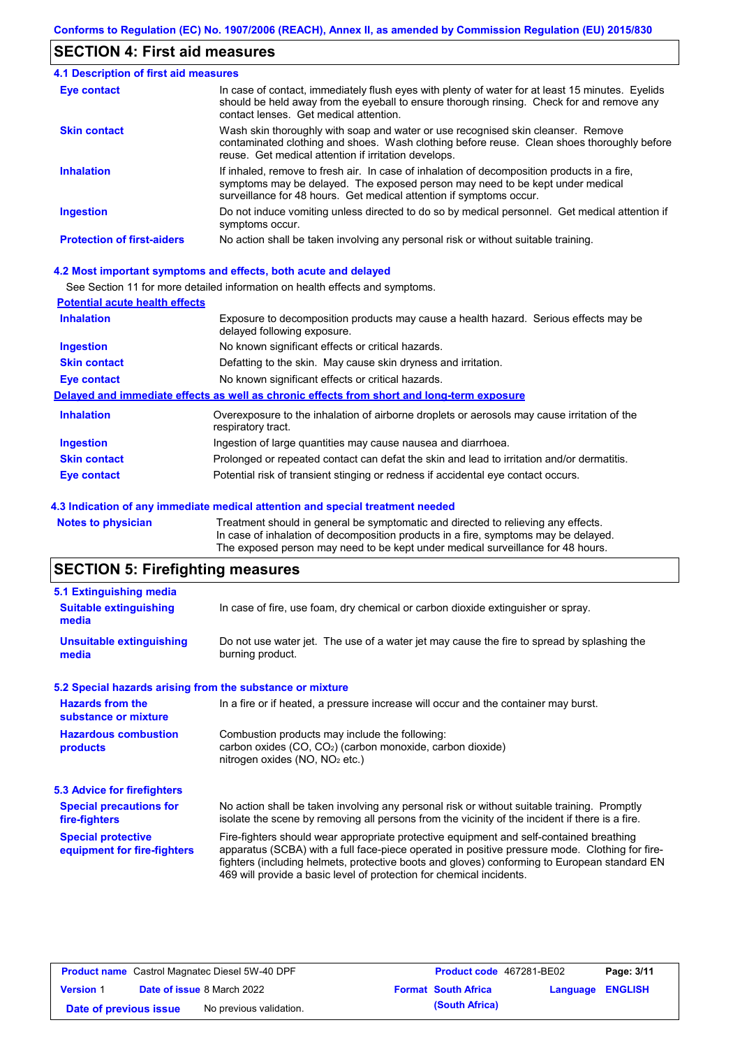## **SECTION 4: First aid measures**

| 4.1 Description of first aid measures |                                                                                                                                                                                                                                                     |
|---------------------------------------|-----------------------------------------------------------------------------------------------------------------------------------------------------------------------------------------------------------------------------------------------------|
| Eye contact                           | In case of contact, immediately flush eyes with plenty of water for at least 15 minutes. Eyelids<br>should be held away from the eyeball to ensure thorough rinsing. Check for and remove any<br>contact lenses. Get medical attention.             |
| <b>Skin contact</b>                   | Wash skin thoroughly with soap and water or use recognised skin cleanser. Remove<br>contaminated clothing and shoes. Wash clothing before reuse. Clean shoes thoroughly before<br>reuse. Get medical attention if irritation develops.              |
| <b>Inhalation</b>                     | If inhaled, remove to fresh air. In case of inhalation of decomposition products in a fire,<br>symptoms may be delayed. The exposed person may need to be kept under medical<br>surveillance for 48 hours. Get medical attention if symptoms occur. |
| <b>Ingestion</b>                      | Do not induce vomiting unless directed to do so by medical personnel. Get medical attention if<br>symptoms occur.                                                                                                                                   |
| <b>Protection of first-aiders</b>     | No action shall be taken involving any personal risk or without suitable training.                                                                                                                                                                  |

### **4.2 Most important symptoms and effects, both acute and delayed**

See Section 11 for more detailed information on health effects and symptoms.

| <b>Potential acute health effects</b> |                                                                                                                     |
|---------------------------------------|---------------------------------------------------------------------------------------------------------------------|
| <b>Inhalation</b>                     | Exposure to decomposition products may cause a health hazard. Serious effects may be<br>delayed following exposure. |
| <b>Ingestion</b>                      | No known significant effects or critical hazards.                                                                   |
| <b>Skin contact</b>                   | Defatting to the skin. May cause skin dryness and irritation.                                                       |
| <b>Eye contact</b>                    | No known significant effects or critical hazards.                                                                   |
|                                       | Delayed and immediate effects as well as chronic effects from short and long-term exposure                          |
| <b>Inhalation</b>                     | Overexposure to the inhalation of airborne droplets or aerosols may cause irritation of the<br>respiratory tract.   |
| <b>Ingestion</b>                      | Ingestion of large quantities may cause nausea and diarrhoea.                                                       |
| <b>Skin contact</b>                   | Prolonged or repeated contact can defat the skin and lead to irritation and/or dermatitis.                          |
| Eye contact                           | Potential risk of transient stinging or redness if accidental eye contact occurs.                                   |
|                                       |                                                                                                                     |

#### **4.3 Indication of any immediate medical attention and special treatment needed**

**Notes to physician** Treatment should in general be symptomatic and directed to relieving any effects. In case of inhalation of decomposition products in a fire, symptoms may be delayed. The exposed person may need to be kept under medical surveillance for 48 hours.

# **SECTION 5: Firefighting measures**

| 5.1 Extinguishing media                                   |                                                                                                                                                                                                                                                                                                                                                                   |
|-----------------------------------------------------------|-------------------------------------------------------------------------------------------------------------------------------------------------------------------------------------------------------------------------------------------------------------------------------------------------------------------------------------------------------------------|
| <b>Suitable extinguishing</b><br>media                    | In case of fire, use foam, dry chemical or carbon dioxide extinguisher or spray.                                                                                                                                                                                                                                                                                  |
| <b>Unsuitable extinguishing</b><br>media                  | Do not use water jet. The use of a water jet may cause the fire to spread by splashing the<br>burning product.                                                                                                                                                                                                                                                    |
| 5.2 Special hazards arising from the substance or mixture |                                                                                                                                                                                                                                                                                                                                                                   |
| <b>Hazards from the</b><br>substance or mixture           | In a fire or if heated, a pressure increase will occur and the container may burst.                                                                                                                                                                                                                                                                               |
| <b>Hazardous combustion</b><br>products                   | Combustion products may include the following:<br>carbon oxides $(CO, CO2)$ (carbon monoxide, carbon dioxide)<br>nitrogen oxides ( $NO$ , $NO2$ etc.)                                                                                                                                                                                                             |
| 5.3 Advice for firefighters                               |                                                                                                                                                                                                                                                                                                                                                                   |
| <b>Special precautions for</b><br>fire-fighters           | No action shall be taken involving any personal risk or without suitable training. Promptly<br>isolate the scene by removing all persons from the vicinity of the incident if there is a fire.                                                                                                                                                                    |
| <b>Special protective</b><br>equipment for fire-fighters  | Fire-fighters should wear appropriate protective equipment and self-contained breathing<br>apparatus (SCBA) with a full face-piece operated in positive pressure mode. Clothing for fire-<br>fighters (including helmets, protective boots and gloves) conforming to European standard EN<br>469 will provide a basic level of protection for chemical incidents. |

| <b>Product name</b> Castrol Magnatec Diesel 5W-40 DPF |  |                                   | <b>Product code</b> 467281-BE02 |                            | Page: 3/11              |  |
|-------------------------------------------------------|--|-----------------------------------|---------------------------------|----------------------------|-------------------------|--|
| <b>Version 1</b>                                      |  | <b>Date of issue 8 March 2022</b> |                                 | <b>Format South Africa</b> | <b>Language ENGLISH</b> |  |
| Date of previous issue                                |  | No previous validation.           |                                 | (South Africa)             |                         |  |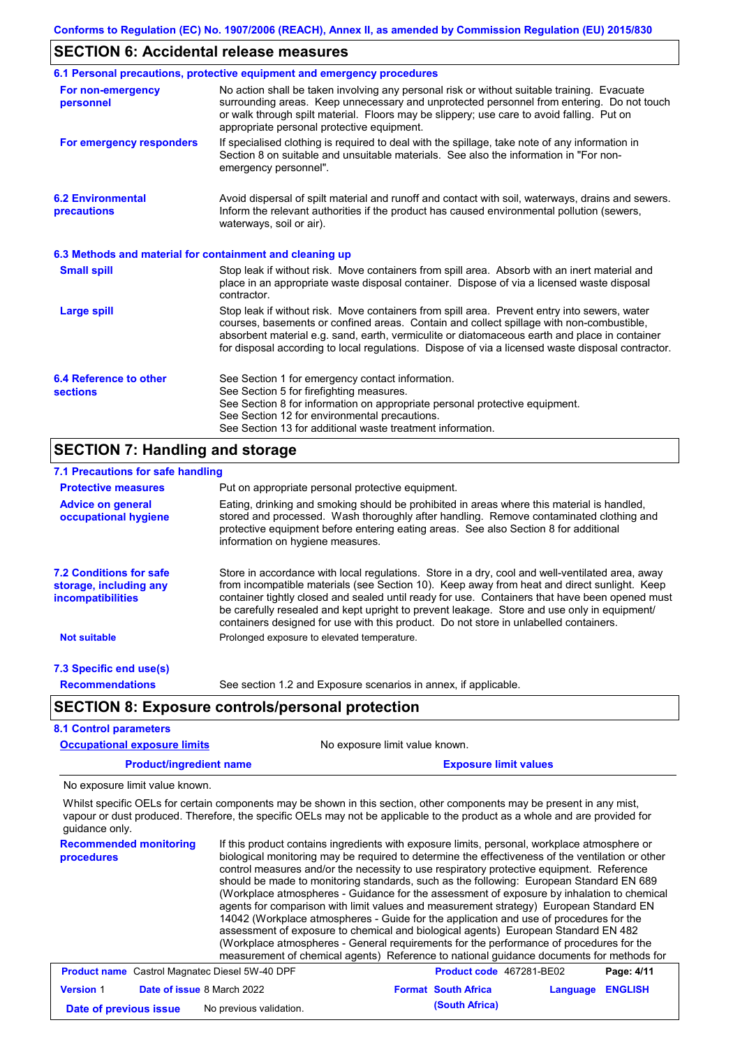### **SECTION 6: Accidental release measures**

|                                                          | 6.1 Personal precautions, protective equipment and emergency procedures                                                                                                                                                                                                                                                                                                                        |
|----------------------------------------------------------|------------------------------------------------------------------------------------------------------------------------------------------------------------------------------------------------------------------------------------------------------------------------------------------------------------------------------------------------------------------------------------------------|
| For non-emergency<br>personnel                           | No action shall be taken involving any personal risk or without suitable training. Evacuate<br>surrounding areas. Keep unnecessary and unprotected personnel from entering. Do not touch<br>or walk through spilt material. Floors may be slippery; use care to avoid falling. Put on<br>appropriate personal protective equipment.                                                            |
| For emergency responders                                 | If specialised clothing is required to deal with the spillage, take note of any information in<br>Section 8 on suitable and unsuitable materials. See also the information in "For non-<br>emergency personnel".                                                                                                                                                                               |
| <b>6.2 Environmental</b><br>precautions                  | Avoid dispersal of spilt material and runoff and contact with soil, waterways, drains and sewers.<br>Inform the relevant authorities if the product has caused environmental pollution (sewers,<br>waterways, soil or air).                                                                                                                                                                    |
| 6.3 Methods and material for containment and cleaning up |                                                                                                                                                                                                                                                                                                                                                                                                |
| <b>Small spill</b>                                       | Stop leak if without risk. Move containers from spill area. Absorb with an inert material and<br>place in an appropriate waste disposal container. Dispose of via a licensed waste disposal<br>contractor.                                                                                                                                                                                     |
| <b>Large spill</b>                                       | Stop leak if without risk. Move containers from spill area. Prevent entry into sewers, water<br>courses, basements or confined areas. Contain and collect spillage with non-combustible,<br>absorbent material e.g. sand, earth, vermiculite or diatomaceous earth and place in container<br>for disposal according to local regulations. Dispose of via a licensed waste disposal contractor. |
| 6.4 Reference to other<br><b>sections</b>                | See Section 1 for emergency contact information.<br>See Section 5 for firefighting measures.<br>See Section 8 for information on appropriate personal protective equipment.<br>See Section 12 for environmental precautions.<br>See Section 13 for additional waste treatment information.                                                                                                     |
| <b>SECTION 7: Handling and storage</b>                   |                                                                                                                                                                                                                                                                                                                                                                                                |

#### Store in accordance with local regulations. Store in a dry, cool and well-ventilated area, away from incompatible materials (see Section 10). Keep away from heat and direct sunlight. Keep container tightly closed and sealed until ready for use. Containers that have been opened must be carefully resealed and kept upright to prevent leakage. Store and use only in equipment/ containers designed for use with this product. Do not store in unlabelled containers. **7.1 Precautions for safe handling Protective measures Advice on general occupational hygiene 7.2 Conditions for safe storage, including any incompatibilities 7.3 Specific end use(s) Recommendations** Put on appropriate personal protective equipment. Eating, drinking and smoking should be prohibited in areas where this material is handled, stored and processed. Wash thoroughly after handling. Remove contaminated clothing and protective equipment before entering eating areas. See also Section 8 for additional information on hygiene measures. **Not suitable Not suitable** Prolonged exposure to elevated temperature. See section 1.2 and Exposure scenarios in annex, if applicable. **Product/ingredient name <b>Exposure limit values Exposure limit values SECTION 8: Exposure controls/personal protection 8.1 Control parameters Occupational exposure limits** No exposure limit value known.

No exposure limit value known.

Whilst specific OELs for certain components may be shown in this section, other components may be present in any mist, vapour or dust produced. Therefore, the specific OELs may not be applicable to the product as a whole and are provided for guidance only.

**Recommended monitoring procedures**

If this product contains ingredients with exposure limits, personal, workplace atmosphere or biological monitoring may be required to determine the effectiveness of the ventilation or other control measures and/or the necessity to use respiratory protective equipment. Reference should be made to monitoring standards, such as the following: European Standard EN 689 (Workplace atmospheres - Guidance for the assessment of exposure by inhalation to chemical agents for comparison with limit values and measurement strategy) European Standard EN 14042 (Workplace atmospheres - Guide for the application and use of procedures for the assessment of exposure to chemical and biological agents) European Standard EN 482 (Workplace atmospheres - General requirements for the performance of procedures for the measurement of chemical agents) Reference to national guidance documents for methods for

| <b>Product name</b> Castrol Magnatec Diesel 5W-40 DPF |  |                                   | <b>Product code</b> 467281-BE02 |                            | Page: 4/11              |  |
|-------------------------------------------------------|--|-----------------------------------|---------------------------------|----------------------------|-------------------------|--|
| <b>Version 1</b>                                      |  | <b>Date of issue 8 March 2022</b> |                                 | <b>Format South Africa</b> | <b>Language ENGLISH</b> |  |
| No previous validation.<br>Date of previous issue     |  |                                   | (South Africa)                  |                            |                         |  |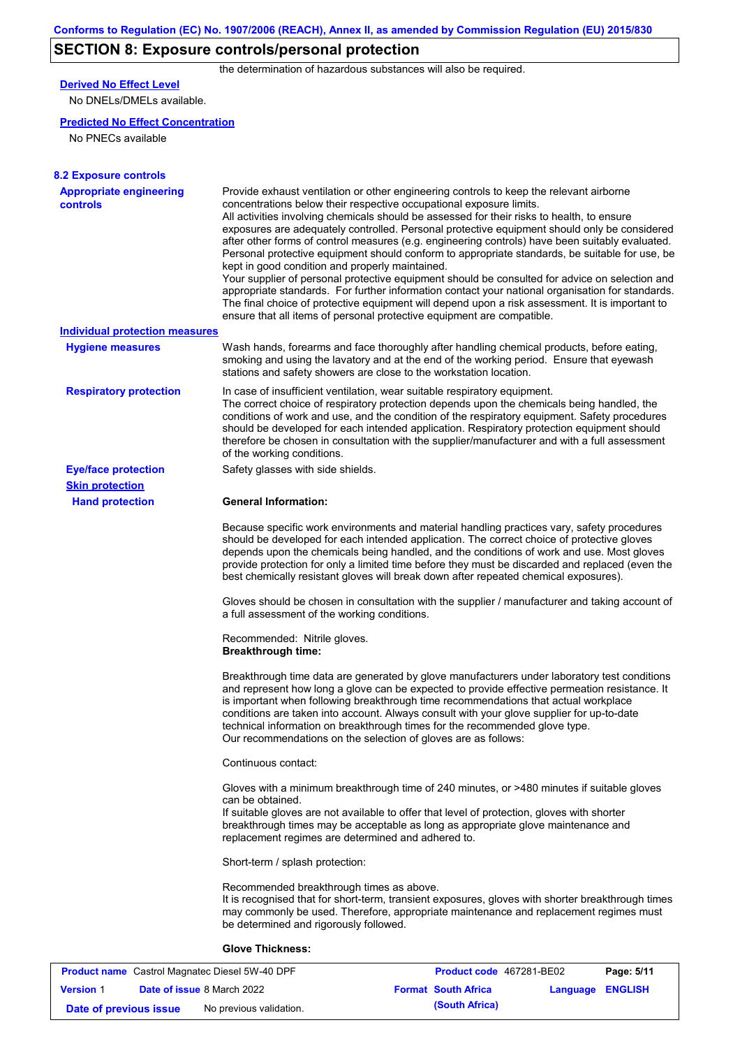# **SECTION 8: Exposure controls/personal protection**

the determination of hazardous substances will also be required.

## **Derived No Effect Level**

No DNELs/DMELs available.

### **Predicted No Effect Concentration**

No PNECs available

| <b>8.2 Exposure controls</b>                      |                                                                                                                                                                                                                                                                                                                                                                                                                                                                                                                                                                                                                                                                                                                                                                                                                                                                                                                                                                                                         |
|---------------------------------------------------|---------------------------------------------------------------------------------------------------------------------------------------------------------------------------------------------------------------------------------------------------------------------------------------------------------------------------------------------------------------------------------------------------------------------------------------------------------------------------------------------------------------------------------------------------------------------------------------------------------------------------------------------------------------------------------------------------------------------------------------------------------------------------------------------------------------------------------------------------------------------------------------------------------------------------------------------------------------------------------------------------------|
| <b>Appropriate engineering</b><br><b>controls</b> | Provide exhaust ventilation or other engineering controls to keep the relevant airborne<br>concentrations below their respective occupational exposure limits.<br>All activities involving chemicals should be assessed for their risks to health, to ensure<br>exposures are adequately controlled. Personal protective equipment should only be considered<br>after other forms of control measures (e.g. engineering controls) have been suitably evaluated.<br>Personal protective equipment should conform to appropriate standards, be suitable for use, be<br>kept in good condition and properly maintained.<br>Your supplier of personal protective equipment should be consulted for advice on selection and<br>appropriate standards. For further information contact your national organisation for standards.<br>The final choice of protective equipment will depend upon a risk assessment. It is important to<br>ensure that all items of personal protective equipment are compatible. |
| <b>Individual protection measures</b>             |                                                                                                                                                                                                                                                                                                                                                                                                                                                                                                                                                                                                                                                                                                                                                                                                                                                                                                                                                                                                         |
| <b>Hygiene measures</b>                           | Wash hands, forearms and face thoroughly after handling chemical products, before eating,<br>smoking and using the lavatory and at the end of the working period. Ensure that eyewash<br>stations and safety showers are close to the workstation location.                                                                                                                                                                                                                                                                                                                                                                                                                                                                                                                                                                                                                                                                                                                                             |
| <b>Respiratory protection</b>                     | In case of insufficient ventilation, wear suitable respiratory equipment.<br>The correct choice of respiratory protection depends upon the chemicals being handled, the<br>conditions of work and use, and the condition of the respiratory equipment. Safety procedures<br>should be developed for each intended application. Respiratory protection equipment should<br>therefore be chosen in consultation with the supplier/manufacturer and with a full assessment<br>of the working conditions.                                                                                                                                                                                                                                                                                                                                                                                                                                                                                                   |
| <b>Eye/face protection</b>                        | Safety glasses with side shields.                                                                                                                                                                                                                                                                                                                                                                                                                                                                                                                                                                                                                                                                                                                                                                                                                                                                                                                                                                       |
| <b>Skin protection</b>                            |                                                                                                                                                                                                                                                                                                                                                                                                                                                                                                                                                                                                                                                                                                                                                                                                                                                                                                                                                                                                         |
| <b>Hand protection</b>                            | <b>General Information:</b>                                                                                                                                                                                                                                                                                                                                                                                                                                                                                                                                                                                                                                                                                                                                                                                                                                                                                                                                                                             |
|                                                   | Because specific work environments and material handling practices vary, safety procedures<br>should be developed for each intended application. The correct choice of protective gloves<br>depends upon the chemicals being handled, and the conditions of work and use. Most gloves<br>provide protection for only a limited time before they must be discarded and replaced (even the<br>best chemically resistant gloves will break down after repeated chemical exposures).                                                                                                                                                                                                                                                                                                                                                                                                                                                                                                                        |
|                                                   | Gloves should be chosen in consultation with the supplier / manufacturer and taking account of<br>a full assessment of the working conditions.                                                                                                                                                                                                                                                                                                                                                                                                                                                                                                                                                                                                                                                                                                                                                                                                                                                          |
|                                                   | Recommended: Nitrile gloves.<br><b>Breakthrough time:</b>                                                                                                                                                                                                                                                                                                                                                                                                                                                                                                                                                                                                                                                                                                                                                                                                                                                                                                                                               |
|                                                   | Breakthrough time data are generated by glove manufacturers under laboratory test conditions<br>and represent how long a glove can be expected to provide effective permeation resistance. It<br>is important when following breakthrough time recommendations that actual workplace<br>conditions are taken into account. Always consult with your glove supplier for up-to-date<br>technical information on breakthrough times for the recommended glove type.<br>Our recommendations on the selection of gloves are as follows:                                                                                                                                                                                                                                                                                                                                                                                                                                                                      |
|                                                   | Continuous contact:                                                                                                                                                                                                                                                                                                                                                                                                                                                                                                                                                                                                                                                                                                                                                                                                                                                                                                                                                                                     |
|                                                   | Gloves with a minimum breakthrough time of 240 minutes, or >480 minutes if suitable gloves<br>can be obtained.<br>If suitable gloves are not available to offer that level of protection, gloves with shorter<br>breakthrough times may be acceptable as long as appropriate glove maintenance and<br>replacement regimes are determined and adhered to.                                                                                                                                                                                                                                                                                                                                                                                                                                                                                                                                                                                                                                                |
|                                                   | Short-term / splash protection:                                                                                                                                                                                                                                                                                                                                                                                                                                                                                                                                                                                                                                                                                                                                                                                                                                                                                                                                                                         |
|                                                   | Recommended breakthrough times as above.<br>It is recognised that for short-term, transient exposures, gloves with shorter breakthrough times<br>may commonly be used. Therefore, appropriate maintenance and replacement regimes must<br>be determined and rigorously followed.                                                                                                                                                                                                                                                                                                                                                                                                                                                                                                                                                                                                                                                                                                                        |
|                                                   | <b>Glove Thickness:</b>                                                                                                                                                                                                                                                                                                                                                                                                                                                                                                                                                                                                                                                                                                                                                                                                                                                                                                                                                                                 |
|                                                   |                                                                                                                                                                                                                                                                                                                                                                                                                                                                                                                                                                                                                                                                                                                                                                                                                                                                                                                                                                                                         |

|                        | <b>Product name</b> Castrol Magnatec Diesel 5W-40 DPF | <b>Product code</b> 467281-BE02 |                  | Page: 5/11 |
|------------------------|-------------------------------------------------------|---------------------------------|------------------|------------|
| <b>Version 1</b>       | <b>Date of issue 8 March 2022</b>                     | <b>Format South Africa</b>      | Language ENGLISH |            |
| Date of previous issue | No previous validation.                               | (South Africa)                  |                  |            |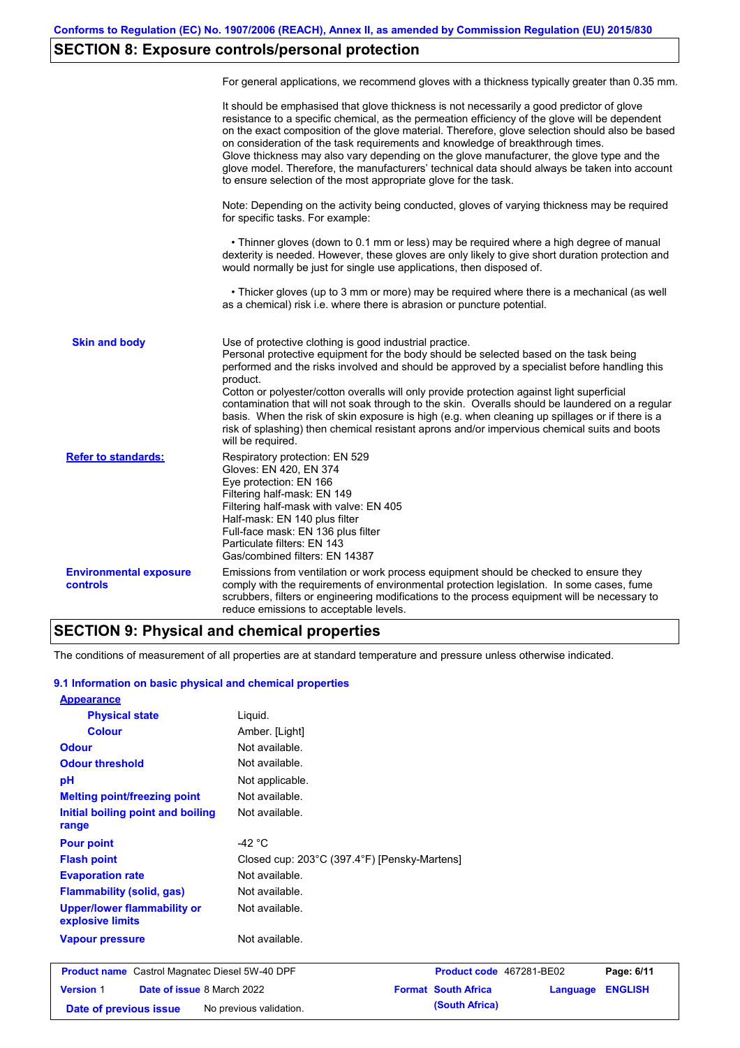# **SECTION 8: Exposure controls/personal protection**

|                                           | For general applications, we recommend gloves with a thickness typically greater than 0.35 mm.                                                                                                                                                                                                                                                                                                                                                                                                                                                                                                                                                                                        |
|-------------------------------------------|---------------------------------------------------------------------------------------------------------------------------------------------------------------------------------------------------------------------------------------------------------------------------------------------------------------------------------------------------------------------------------------------------------------------------------------------------------------------------------------------------------------------------------------------------------------------------------------------------------------------------------------------------------------------------------------|
|                                           | It should be emphasised that glove thickness is not necessarily a good predictor of glove<br>resistance to a specific chemical, as the permeation efficiency of the glove will be dependent<br>on the exact composition of the glove material. Therefore, glove selection should also be based<br>on consideration of the task requirements and knowledge of breakthrough times.<br>Glove thickness may also vary depending on the glove manufacturer, the glove type and the<br>glove model. Therefore, the manufacturers' technical data should always be taken into account<br>to ensure selection of the most appropriate glove for the task.                                     |
|                                           | Note: Depending on the activity being conducted, gloves of varying thickness may be required<br>for specific tasks. For example:                                                                                                                                                                                                                                                                                                                                                                                                                                                                                                                                                      |
|                                           | • Thinner gloves (down to 0.1 mm or less) may be required where a high degree of manual<br>dexterity is needed. However, these gloves are only likely to give short duration protection and<br>would normally be just for single use applications, then disposed of.                                                                                                                                                                                                                                                                                                                                                                                                                  |
|                                           | • Thicker gloves (up to 3 mm or more) may be required where there is a mechanical (as well<br>as a chemical) risk i.e. where there is abrasion or puncture potential.                                                                                                                                                                                                                                                                                                                                                                                                                                                                                                                 |
| <b>Skin and body</b>                      | Use of protective clothing is good industrial practice.<br>Personal protective equipment for the body should be selected based on the task being<br>performed and the risks involved and should be approved by a specialist before handling this<br>product.<br>Cotton or polyester/cotton overalls will only provide protection against light superficial<br>contamination that will not soak through to the skin. Overalls should be laundered on a regular<br>basis. When the risk of skin exposure is high (e.g. when cleaning up spillages or if there is a<br>risk of splashing) then chemical resistant aprons and/or impervious chemical suits and boots<br>will be required. |
| <b>Refer to standards:</b>                | Respiratory protection: EN 529<br>Gloves: EN 420, EN 374<br>Eye protection: EN 166<br>Filtering half-mask: EN 149<br>Filtering half-mask with valve: EN 405<br>Half-mask: EN 140 plus filter<br>Full-face mask: EN 136 plus filter<br>Particulate filters: EN 143<br>Gas/combined filters: EN 14387                                                                                                                                                                                                                                                                                                                                                                                   |
| <b>Environmental exposure</b><br>controls | Emissions from ventilation or work process equipment should be checked to ensure they<br>comply with the requirements of environmental protection legislation. In some cases, fume<br>scrubbers, filters or engineering modifications to the process equipment will be necessary to<br>reduce emissions to acceptable levels.                                                                                                                                                                                                                                                                                                                                                         |

## **SECTION 9: Physical and chemical properties**

The conditions of measurement of all properties are at standard temperature and pressure unless otherwise indicated.

### **9.1 Information on basic physical and chemical properties**

| Busilist name Castual Magnates Dissal FWL40 BBF        | $D_{\text{max}}$ direct conditional $A \cap B \cap A$ |
|--------------------------------------------------------|-------------------------------------------------------|
| <b>Vapour pressure</b>                                 | Not available.                                        |
| <b>Upper/lower flammability or</b><br>explosive limits | Not available.                                        |
| <b>Flammability (solid, gas)</b>                       | Not available.                                        |
| <b>Evaporation rate</b>                                | Not available.                                        |
| <b>Flash point</b>                                     | Closed cup: 203°C (397.4°F) [Pensky-Martens]          |
| <b>Pour point</b>                                      | -42 $^{\circ}$ C                                      |
| Initial boiling point and boiling<br>range             | Not available.                                        |
| <b>Melting point/freezing point</b>                    | Not available.                                        |
| pH                                                     | Not applicable.                                       |
| <b>Odour threshold</b>                                 | Not available.                                        |
| <b>Odour</b>                                           | Not available.                                        |
| <b>Colour</b>                                          | Amber. [Light]                                        |
| <b>Physical state</b>                                  | Liguid.                                               |
| <b>Appearance</b>                                      |                                                       |

|                        | <b>Product name</b> Castrol Magnatec Diesel 5W-40 DPF | <b>Product code</b> 467281-BE02 |                  | Page: 6/11 |
|------------------------|-------------------------------------------------------|---------------------------------|------------------|------------|
| <b>Version 1</b>       | <b>Date of issue 8 March 2022</b>                     | <b>Format South Africa</b>      | Language ENGLISH |            |
| Date of previous issue | No previous validation.                               | (South Africa)                  |                  |            |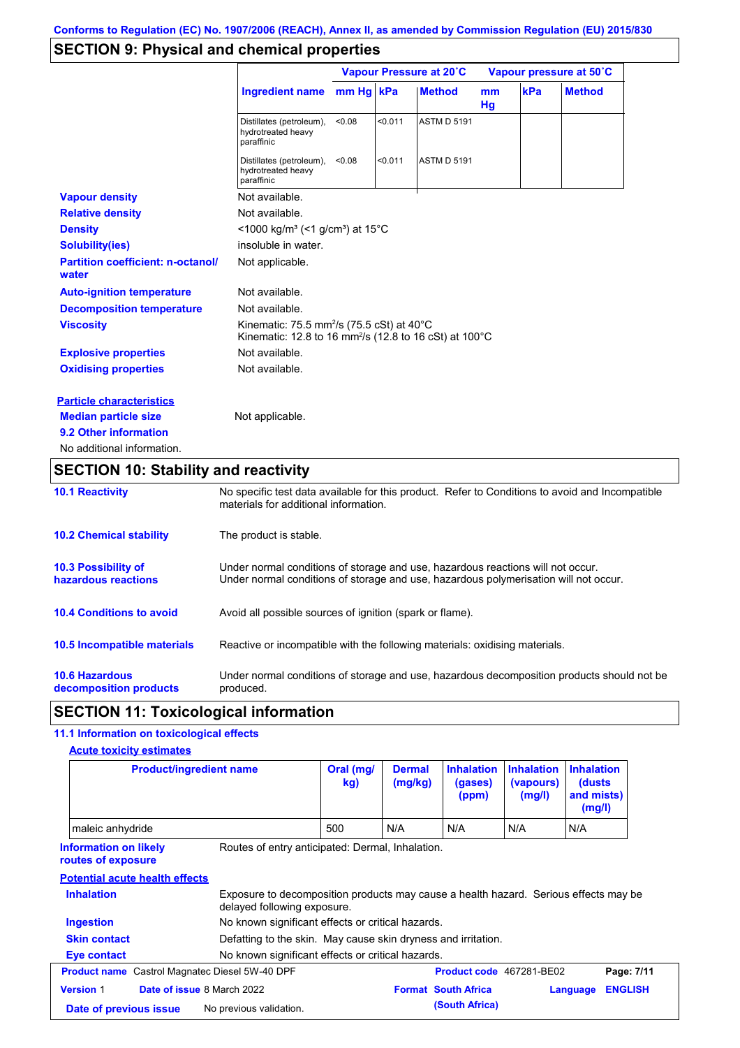# **SECTION 9: Physical and chemical properties**

|                                                   |                                                                                                                                                   | Vapour Pressure at 20°C |         |                    | Vapour pressure at 50°C |     |               |
|---------------------------------------------------|---------------------------------------------------------------------------------------------------------------------------------------------------|-------------------------|---------|--------------------|-------------------------|-----|---------------|
|                                                   | <b>Ingredient name</b>                                                                                                                            | mm Hg kPa               |         | <b>Method</b>      | <sub>mm</sub><br>Hg     | kPa | <b>Method</b> |
|                                                   | Distillates (petroleum),<br>hydrotreated heavy<br>paraffinic                                                                                      | < 0.08                  | < 0.011 | <b>ASTM D 5191</b> |                         |     |               |
|                                                   | Distillates (petroleum),<br>hydrotreated heavy<br>paraffinic                                                                                      | < 0.08                  | < 0.011 | <b>ASTM D 5191</b> |                         |     |               |
| <b>Vapour density</b>                             | Not available.                                                                                                                                    |                         |         |                    |                         |     |               |
| <b>Relative density</b>                           | Not available.                                                                                                                                    |                         |         |                    |                         |     |               |
| <b>Density</b>                                    | <1000 kg/m <sup>3</sup> (<1 g/cm <sup>3</sup> ) at 15 <sup>°</sup> C                                                                              |                         |         |                    |                         |     |               |
| <b>Solubility(ies)</b>                            | insoluble in water.                                                                                                                               |                         |         |                    |                         |     |               |
| <b>Partition coefficient: n-octanol/</b><br>water | Not applicable.                                                                                                                                   |                         |         |                    |                         |     |               |
| <b>Auto-ignition temperature</b>                  | Not available.                                                                                                                                    |                         |         |                    |                         |     |               |
| <b>Decomposition temperature</b>                  | Not available.                                                                                                                                    |                         |         |                    |                         |     |               |
| <b>Viscosity</b>                                  | Kinematic: 75.5 mm <sup>2</sup> /s (75.5 cSt) at 40 $^{\circ}$ C<br>Kinematic: 12.8 to 16 mm <sup>2</sup> /s (12.8 to 16 cSt) at 100 $^{\circ}$ C |                         |         |                    |                         |     |               |
| <b>Explosive properties</b>                       | Not available.                                                                                                                                    |                         |         |                    |                         |     |               |
| <b>Oxidising properties</b>                       | Not available.                                                                                                                                    |                         |         |                    |                         |     |               |
| <b>Particle characteristics</b>                   |                                                                                                                                                   |                         |         |                    |                         |     |               |
| <b>Median particle size</b>                       | Not applicable.                                                                                                                                   |                         |         |                    |                         |     |               |
| 9.2 Other information                             |                                                                                                                                                   |                         |         |                    |                         |     |               |
| No additional information.                        |                                                                                                                                                   |                         |         |                    |                         |     |               |

# **SECTION 10: Stability and reactivity**

| <b>10.1 Reactivity</b>                            | No specific test data available for this product. Refer to Conditions to avoid and Incompatible<br>materials for additional information.                                |
|---------------------------------------------------|-------------------------------------------------------------------------------------------------------------------------------------------------------------------------|
| <b>10.2 Chemical stability</b>                    | The product is stable.                                                                                                                                                  |
| <b>10.3 Possibility of</b><br>hazardous reactions | Under normal conditions of storage and use, hazardous reactions will not occur.<br>Under normal conditions of storage and use, hazardous polymerisation will not occur. |
| <b>10.4 Conditions to avoid</b>                   | Avoid all possible sources of ignition (spark or flame).                                                                                                                |
| 10.5 Incompatible materials                       | Reactive or incompatible with the following materials: oxidising materials.                                                                                             |
| <b>10.6 Hazardous</b><br>decomposition products   | Under normal conditions of storage and use, hazardous decomposition products should not be<br>produced.                                                                 |

## **SECTION 11: Toxicological information**

## **11.1 Information on toxicological effects**

| <b>Acute toxicity estimates</b> |
|---------------------------------|
|---------------------------------|

| <b>Product/ingredient name</b>                        |                                                                                                                     | Oral (mg/<br>kg) | <b>Dermal</b><br>(mg/kg) | <b>Inhalation</b><br>(gases)<br>(ppm) | <b>Inhalation</b><br>(vapours)<br>(mg/l) | <b>Inhalation</b><br>(dusts)<br>and mists)<br>(mg/l) |                |
|-------------------------------------------------------|---------------------------------------------------------------------------------------------------------------------|------------------|--------------------------|---------------------------------------|------------------------------------------|------------------------------------------------------|----------------|
| maleic anhydride                                      |                                                                                                                     | 500              | N/A                      | N/A                                   | N/A                                      | N/A                                                  |                |
| <b>Information on likely</b><br>routes of exposure    | Routes of entry anticipated: Dermal, Inhalation.                                                                    |                  |                          |                                       |                                          |                                                      |                |
| <b>Potential acute health effects</b>                 |                                                                                                                     |                  |                          |                                       |                                          |                                                      |                |
| <b>Inhalation</b>                                     | Exposure to decomposition products may cause a health hazard. Serious effects may be<br>delayed following exposure. |                  |                          |                                       |                                          |                                                      |                |
| <b>Ingestion</b>                                      | No known significant effects or critical hazards.                                                                   |                  |                          |                                       |                                          |                                                      |                |
| <b>Skin contact</b>                                   | Defatting to the skin. May cause skin dryness and irritation.                                                       |                  |                          |                                       |                                          |                                                      |                |
| Eye contact                                           | No known significant effects or critical hazards.                                                                   |                  |                          |                                       |                                          |                                                      |                |
| <b>Product name</b> Castrol Magnatec Diesel 5W-40 DPF |                                                                                                                     |                  |                          | Product code 467281-BE02              |                                          |                                                      | Page: 7/11     |
| Date of issue 8 March 2022<br><b>Version 1</b>        |                                                                                                                     |                  |                          | <b>Format South Africa</b>            |                                          | Language                                             | <b>ENGLISH</b> |
| Date of previous issue                                | No previous validation.                                                                                             |                  |                          | (South Africa)                        |                                          |                                                      |                |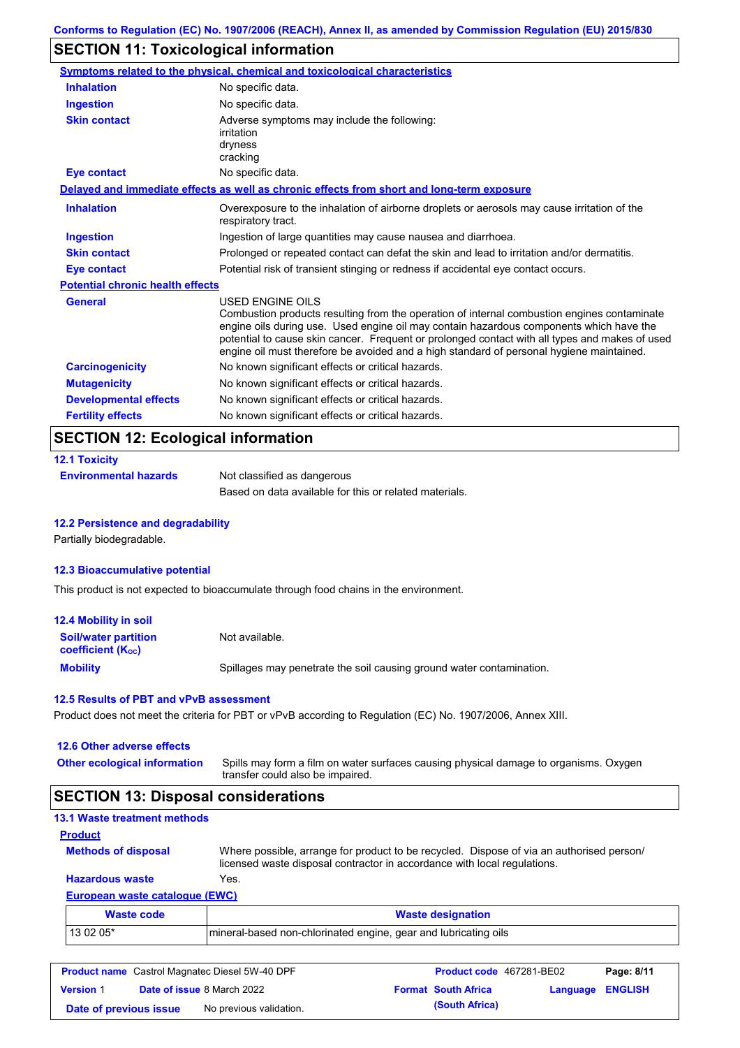# **SECTION 11: Toxicological information**

|                                         | Symptoms related to the physical, chemical and toxicological characteristics                                                                                                                                                                                                                                                                                                                             |
|-----------------------------------------|----------------------------------------------------------------------------------------------------------------------------------------------------------------------------------------------------------------------------------------------------------------------------------------------------------------------------------------------------------------------------------------------------------|
| <b>Inhalation</b>                       | No specific data.                                                                                                                                                                                                                                                                                                                                                                                        |
| <b>Ingestion</b>                        | No specific data.                                                                                                                                                                                                                                                                                                                                                                                        |
| <b>Skin contact</b>                     | Adverse symptoms may include the following:<br>irritation<br>dryness<br>cracking                                                                                                                                                                                                                                                                                                                         |
| <b>Eye contact</b>                      | No specific data.                                                                                                                                                                                                                                                                                                                                                                                        |
|                                         | Delayed and immediate effects as well as chronic effects from short and long-term exposure                                                                                                                                                                                                                                                                                                               |
| <b>Inhalation</b>                       | Overexposure to the inhalation of airborne droplets or aerosols may cause irritation of the<br>respiratory tract.                                                                                                                                                                                                                                                                                        |
| <b>Ingestion</b>                        | Ingestion of large quantities may cause nausea and diarrhoea.                                                                                                                                                                                                                                                                                                                                            |
| <b>Skin contact</b>                     | Prolonged or repeated contact can defat the skin and lead to irritation and/or dermatitis.                                                                                                                                                                                                                                                                                                               |
| <b>Eye contact</b>                      | Potential risk of transient stinging or redness if accidental eye contact occurs.                                                                                                                                                                                                                                                                                                                        |
| <b>Potential chronic health effects</b> |                                                                                                                                                                                                                                                                                                                                                                                                          |
| <b>General</b>                          | USED ENGINE OILS<br>Combustion products resulting from the operation of internal combustion engines contaminate<br>engine oils during use. Used engine oil may contain hazardous components which have the<br>potential to cause skin cancer. Frequent or prolonged contact with all types and makes of used<br>engine oil must therefore be avoided and a high standard of personal hygiene maintained. |
| <b>Carcinogenicity</b>                  | No known significant effects or critical hazards.                                                                                                                                                                                                                                                                                                                                                        |
| <b>Mutagenicity</b>                     | No known significant effects or critical hazards.                                                                                                                                                                                                                                                                                                                                                        |
| <b>Developmental effects</b>            | No known significant effects or critical hazards.                                                                                                                                                                                                                                                                                                                                                        |
| <b>Fertility effects</b>                | No known significant effects or critical hazards.                                                                                                                                                                                                                                                                                                                                                        |

## **SECTION 12: Ecological information**

| <b>12.1 Toxicity</b>         |                                                        |
|------------------------------|--------------------------------------------------------|
| <b>Environmental hazards</b> | Not classified as dangerous                            |
|                              | Based on data available for this or related materials. |

### **12.2 Persistence and degradability**

Partially biodegradable.

### **12.3 Bioaccumulative potential**

This product is not expected to bioaccumulate through food chains in the environment.

| <b>12.4 Mobility in soil</b>                                  |                                                                      |
|---------------------------------------------------------------|----------------------------------------------------------------------|
| <b>Soil/water partition</b><br>coefficient (K <sub>oc</sub> ) | Not available.                                                       |
| <b>Mobility</b>                                               | Spillages may penetrate the soil causing ground water contamination. |

### **12.5 Results of PBT and vPvB assessment**

Product does not meet the criteria for PBT or vPvB according to Regulation (EC) No. 1907/2006, Annex XIII.

| 12.6 Other adverse effects          |                                                                                                                           |
|-------------------------------------|---------------------------------------------------------------------------------------------------------------------------|
| <b>Other ecological information</b> | Spills may form a film on water surfaces causing physical damage to organisms. Oxygen<br>transfer could also be impaired. |

# **SECTION 13: Disposal considerations**

| <b>13.1 Waste treatment methods</b> |                                                                                                                                                                      |
|-------------------------------------|----------------------------------------------------------------------------------------------------------------------------------------------------------------------|
| <b>Product</b>                      |                                                                                                                                                                      |
| <b>Methods of disposal</b>          | Where possible, arrange for product to be recycled. Dispose of via an authorised person/<br>licensed waste disposal contractor in accordance with local regulations. |
| <b>Hazardous waste</b>              | Yes.                                                                                                                                                                 |
|                                     | European waste catalogue (EWC)                                                                                                                                       |
| <b>Waste code</b>                   | <b>Waste designation</b>                                                                                                                                             |
| 13 02 05*                           | mineral-based non-chlorinated engine, gear and lubricating oils                                                                                                      |

| <b>Product name</b> Castrol Magnatec Diesel 5W-40 DPF |  | Product code 467281-BE02          |  | Page: 8/11                 |                  |  |
|-------------------------------------------------------|--|-----------------------------------|--|----------------------------|------------------|--|
| <b>Version 1</b>                                      |  | <b>Date of issue 8 March 2022</b> |  | <b>Format South Africa</b> | Language ENGLISH |  |
| Date of previous issue                                |  | No previous validation.           |  | (South Africa)             |                  |  |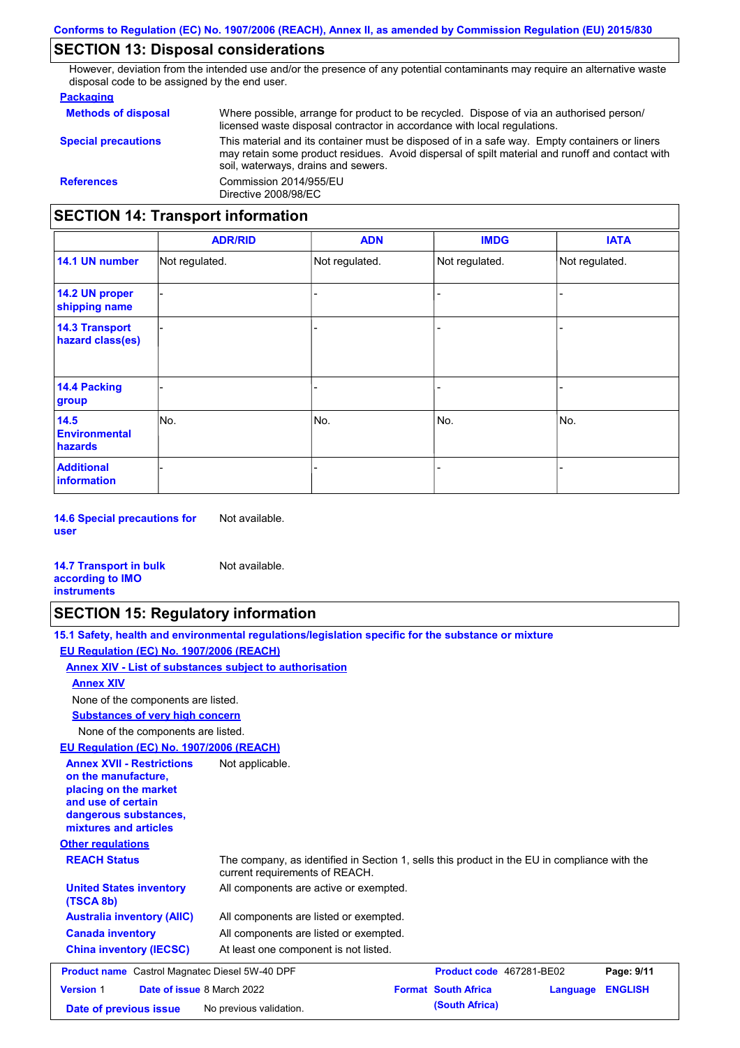## **SECTION 13: Disposal considerations**

However, deviation from the intended use and/or the presence of any potential contaminants may require an alternative waste disposal code to be assigned by the end user.

### **Packaging**

| <b>Methods of disposal</b>               | Where possible, arrange for product to be recycled. Dispose of via an authorised person/<br>licensed waste disposal contractor in accordance with local regulations.                                                                    |
|------------------------------------------|-----------------------------------------------------------------------------------------------------------------------------------------------------------------------------------------------------------------------------------------|
| <b>Special precautions</b>               | This material and its container must be disposed of in a safe way. Empty containers or liners<br>may retain some product residues. Avoid dispersal of spilt material and runoff and contact with<br>soil, waterways, drains and sewers. |
| <b>References</b>                        | Commission 2014/955/EU<br>Directive 2008/98/EC                                                                                                                                                                                          |
| <b>SECTION 14: Transport information</b> |                                                                                                                                                                                                                                         |

#### - - - - - - - - - Not regulated. Not regulated. Not regulated. - - - **ADR/RID IMDG IATA 14.1 UN number 14.2 UN proper shipping name 14.3 Transport hazard class(es) 14.4 Packing group ADN Additional information 14.5 Environmental hazards** No. 1980 | No. 1980 | No. 1980 | No. 1980 | No. 1980 | No. 1980 | No. 1980 | No. 1980 | No. 1980 | No. 1980 | Not regulated. - No. - -

**14.6 Special precautions for user** Not available.

#### **14.7 Transport in bulk according to IMO instruments**

# **SECTION 15: Regulatory information**

Not available.

|                                                                                                                                                          | 15.1 Safety, health and environmental regulations/legislation specific for the substance or mixture                            |                            |          |                |
|----------------------------------------------------------------------------------------------------------------------------------------------------------|--------------------------------------------------------------------------------------------------------------------------------|----------------------------|----------|----------------|
| EU Regulation (EC) No. 1907/2006 (REACH)                                                                                                                 |                                                                                                                                |                            |          |                |
|                                                                                                                                                          | Annex XIV - List of substances subject to authorisation                                                                        |                            |          |                |
| <b>Annex XIV</b>                                                                                                                                         |                                                                                                                                |                            |          |                |
| None of the components are listed.                                                                                                                       |                                                                                                                                |                            |          |                |
| <b>Substances of very high concern</b>                                                                                                                   |                                                                                                                                |                            |          |                |
| None of the components are listed.                                                                                                                       |                                                                                                                                |                            |          |                |
| EU Regulation (EC) No. 1907/2006 (REACH)                                                                                                                 |                                                                                                                                |                            |          |                |
| <b>Annex XVII - Restrictions</b><br>on the manufacture.<br>placing on the market<br>and use of certain<br>dangerous substances,<br>mixtures and articles | Not applicable.                                                                                                                |                            |          |                |
| <b>Other regulations</b>                                                                                                                                 |                                                                                                                                |                            |          |                |
| <b>REACH Status</b>                                                                                                                                      | The company, as identified in Section 1, sells this product in the EU in compliance with the<br>current requirements of REACH. |                            |          |                |
| <b>United States inventory</b><br>(TSCA 8b)                                                                                                              | All components are active or exempted.                                                                                         |                            |          |                |
| <b>Australia inventory (AIIC)</b>                                                                                                                        | All components are listed or exempted.                                                                                         |                            |          |                |
| <b>Canada inventory</b>                                                                                                                                  | All components are listed or exempted.                                                                                         |                            |          |                |
| <b>China inventory (IECSC)</b>                                                                                                                           | At least one component is not listed.                                                                                          |                            |          |                |
| <b>Product name</b> Castrol Magnatec Diesel 5W-40 DPF                                                                                                    |                                                                                                                                | Product code 467281-BE02   |          | Page: 9/11     |
| <b>Version 1</b><br>Date of issue 8 March 2022                                                                                                           |                                                                                                                                | <b>Format South Africa</b> | Language | <b>ENGLISH</b> |
| Date of previous issue                                                                                                                                   | No previous validation.                                                                                                        | (South Africa)             |          |                |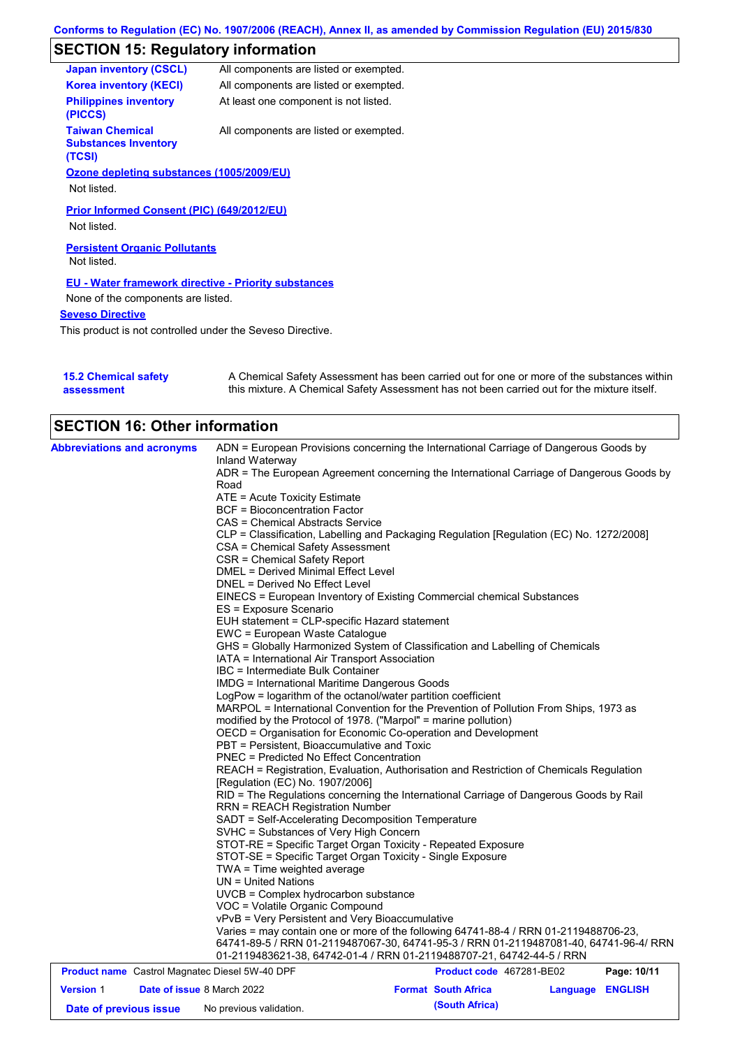# **SECTION 15: Regulatory information**

| <b>Japan inventory (CSCL)</b>                                   | All components are listed or exempted. |
|-----------------------------------------------------------------|----------------------------------------|
| <b>Korea inventory (KECI)</b>                                   | All components are listed or exempted. |
| <b>Philippines inventory</b><br>(PICCS)                         | At least one component is not listed.  |
| <b>Taiwan Chemical</b><br><b>Substances Inventory</b><br>(TCSI) | All components are listed or exempted. |
| Ozone depleting substances (1005/2009/EU)                       |                                        |
| Not listed.                                                     |                                        |
| Prior Informed Consent (PIC) (649/2012/EU)<br>Not listed.       |                                        |
| <b>Persistent Organic Pollutants</b>                            |                                        |
| Not listed.                                                     |                                        |
| <b>EU - Water framework directive - Priority substances</b>     |                                        |
| None of the components are listed.                              |                                        |
| <b>Seveso Directive</b>                                         |                                        |
| This product is not controlled under the Seveso Directive.      |                                        |

| <b>15.2 Chemical safety</b> | A Chemical Safety Assessment has been carried out for one or more of the substances within  |
|-----------------------------|---------------------------------------------------------------------------------------------|
| assessment                  | this mixture. A Chemical Safety Assessment has not been carried out for the mixture itself. |

| <b>SECTION 16: Other information</b><br><b>Abbreviations and acronyms</b> | ADN = European Provisions concerning the International Carriage of Dangerous Goods by<br>Inland Waterway<br>ADR = The European Agreement concerning the International Carriage of Dangerous Goods by<br>Road<br>ATE = Acute Toxicity Estimate<br>BCF = Bioconcentration Factor<br>CAS = Chemical Abstracts Service<br>CLP = Classification, Labelling and Packaging Regulation [Regulation (EC) No. 1272/2008]<br>CSA = Chemical Safety Assessment<br>CSR = Chemical Safety Report<br>DMEL = Derived Minimal Effect Level<br>DNEL = Derived No Effect Level<br>EINECS = European Inventory of Existing Commercial chemical Substances<br>ES = Exposure Scenario<br>EUH statement = CLP-specific Hazard statement<br>EWC = European Waste Catalogue<br>GHS = Globally Harmonized System of Classification and Labelling of Chemicals               |                            |          |                |
|---------------------------------------------------------------------------|---------------------------------------------------------------------------------------------------------------------------------------------------------------------------------------------------------------------------------------------------------------------------------------------------------------------------------------------------------------------------------------------------------------------------------------------------------------------------------------------------------------------------------------------------------------------------------------------------------------------------------------------------------------------------------------------------------------------------------------------------------------------------------------------------------------------------------------------------|----------------------------|----------|----------------|
|                                                                           | IATA = International Air Transport Association<br>IBC = Intermediate Bulk Container<br>IMDG = International Maritime Dangerous Goods<br>LogPow = logarithm of the octanol/water partition coefficient<br>MARPOL = International Convention for the Prevention of Pollution From Ships, 1973 as<br>modified by the Protocol of 1978. ("Marpol" = marine pollution)<br>OECD = Organisation for Economic Co-operation and Development<br>PBT = Persistent, Bioaccumulative and Toxic<br><b>PNEC = Predicted No Effect Concentration</b><br>REACH = Registration, Evaluation, Authorisation and Restriction of Chemicals Regulation                                                                                                                                                                                                                   |                            |          |                |
|                                                                           | [Regulation (EC) No. 1907/2006]<br>RID = The Regulations concerning the International Carriage of Dangerous Goods by Rail<br><b>RRN = REACH Registration Number</b><br>SADT = Self-Accelerating Decomposition Temperature<br>SVHC = Substances of Very High Concern<br>STOT-RE = Specific Target Organ Toxicity - Repeated Exposure<br>STOT-SE = Specific Target Organ Toxicity - Single Exposure<br>TWA = Time weighted average<br>$UN = United Nations$<br>UVCB = Complex hydrocarbon substance<br>VOC = Volatile Organic Compound<br>vPvB = Very Persistent and Very Bioaccumulative<br>Varies = may contain one or more of the following 64741-88-4 / RRN 01-2119488706-23,<br>64741-89-5 / RRN 01-2119487067-30, 64741-95-3 / RRN 01-2119487081-40, 64741-96-4/ RRN<br>01-2119483621-38, 64742-01-4 / RRN 01-2119488707-21, 64742-44-5 / RRN |                            |          |                |
| <b>Product name</b> Castrol Magnatec Diesel 5W-40 DPF                     |                                                                                                                                                                                                                                                                                                                                                                                                                                                                                                                                                                                                                                                                                                                                                                                                                                                   | Product code 467281-BE02   |          | Page: 10/11    |
| <b>Version 1</b><br>Date of issue 8 March 2022                            |                                                                                                                                                                                                                                                                                                                                                                                                                                                                                                                                                                                                                                                                                                                                                                                                                                                   | <b>Format South Africa</b> | Language | <b>ENGLISH</b> |
| Date of previous issue                                                    | No previous validation.                                                                                                                                                                                                                                                                                                                                                                                                                                                                                                                                                                                                                                                                                                                                                                                                                           | (South Africa)             |          |                |